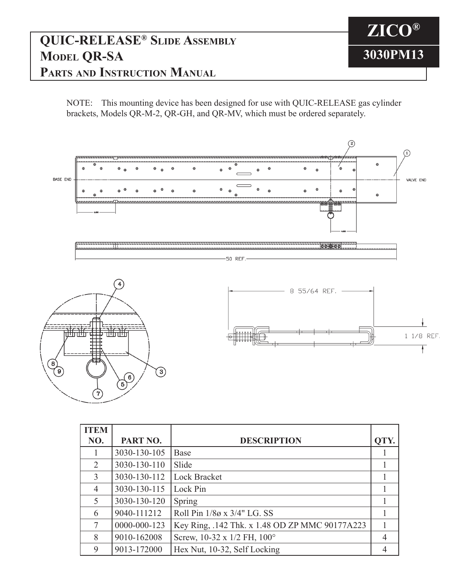## **QUIC-RELEASE® Slide Assembly Model QR-SA Parts and Instruction Manual**

NOTE: This mounting device has been designed for use with QUIC-RELEASE gas cylinder brackets, Models QR-M-2, QR-GH, and QR-MV, which must be ordered separately.

**ZICO®**

**3030PM13**



| <b>ITEM</b> |              |                                                |      |
|-------------|--------------|------------------------------------------------|------|
| NO.         | PART NO.     | <b>DESCRIPTION</b>                             | QTY. |
|             | 3030-130-105 | <b>Base</b>                                    |      |
| 2           | 3030-130-110 | Slide                                          |      |
| 3           | 3030-130-112 | <b>Lock Bracket</b>                            |      |
| 4           | 3030-130-115 | Lock Pin                                       |      |
| 5           | 3030-130-120 | Spring                                         |      |
| 6           | 9040-111212  | Roll Pin 1/8ø x 3/4" LG. SS                    |      |
| 7           | 0000-000-123 | Key Ring, .142 Thk. x 1.48 OD ZP MMC 90177A223 |      |
| 8           | 9010-162008  | Screw, 10-32 x 1/2 FH, 100°                    |      |
| 9           | 9013-172000  | Hex Nut, 10-32, Self Locking                   |      |